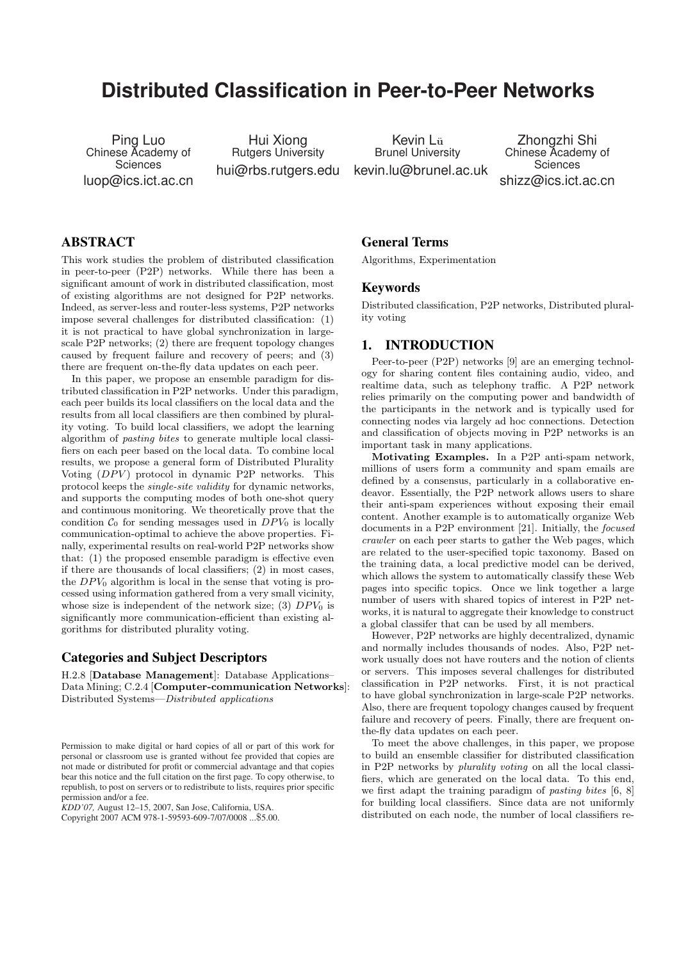# **Distributed Classification in Peer-to-Peer Networks**

Ping Luo Chinese Academy of **Sciences** luop@ics.ict.ac.cn

Hui Xiong Rutgers University

hui@rbs.rutgers.edu kevin.lu@brunel.ac.uk Kevin L<sub>ü</sub> Brunel University

Zhongzhi Shi Chinese Academy of **Sciences** shizz@ics.ict.ac.cn

## ABSTRACT

This work studies the problem of distributed classification in peer-to-peer (P2P) networks. While there has been a significant amount of work in distributed classification, most of existing algorithms are not designed for P2P networks. Indeed, as server-less and router-less systems, P2P networks impose several challenges for distributed classification: (1) it is not practical to have global synchronization in largescale P2P networks; (2) there are frequent topology changes caused by frequent failure and recovery of peers; and (3) there are frequent on-the-fly data updates on each peer.

In this paper, we propose an ensemble paradigm for distributed classification in P2P networks. Under this paradigm, each peer builds its local classifiers on the local data and the results from all local classifiers are then combined by plurality voting. To build local classifiers, we adopt the learning algorithm of pasting bites to generate multiple local classifiers on each peer based on the local data. To combine local results, we propose a general form of Distributed Plurality Voting  $(DPV)$  protocol in dynamic P2P networks. This protocol keeps the single-site validity for dynamic networks, and supports the computing modes of both one-shot query and continuous monitoring. We theoretically prove that the condition  $C_0$  for sending messages used in  $DPV_0$  is locally communication-optimal to achieve the above properties. Finally, experimental results on real-world P2P networks show that: (1) the proposed ensemble paradigm is effective even if there are thousands of local classifiers; (2) in most cases, the  $DPV_0$  algorithm is local in the sense that voting is processed using information gathered from a very small vicinity, whose size is independent of the network size; (3)  $DPV_0$  is significantly more communication-efficient than existing algorithms for distributed plurality voting.

## Categories and Subject Descriptors

H.2.8 [Database Management]: Database Applications– Data Mining; C.2.4 [Computer-communication Networks]: Distributed Systems—Distributed applications

*KDD'07,* August 12–15, 2007, San Jose, California, USA.

Copyright 2007 ACM 978-1-59593-609-7/07/0008 ...\$5.00.

## General Terms

Algorithms, Experimentation

#### Keywords

Distributed classification, P2P networks, Distributed plurality voting

#### 1. INTRODUCTION

Peer-to-peer (P2P) networks [9] are an emerging technology for sharing content files containing audio, video, and realtime data, such as telephony traffic. A P2P network relies primarily on the computing power and bandwidth of the participants in the network and is typically used for connecting nodes via largely ad hoc connections. Detection and classification of objects moving in P2P networks is an important task in many applications.

Motivating Examples. In a P2P anti-spam network, millions of users form a community and spam emails are defined by a consensus, particularly in a collaborative endeavor. Essentially, the P2P network allows users to share their anti-spam experiences without exposing their email content. Another example is to automatically organize Web documents in a P2P environment [21]. Initially, the focused crawler on each peer starts to gather the Web pages, which are related to the user-specified topic taxonomy. Based on the training data, a local predictive model can be derived, which allows the system to automatically classify these Web pages into specific topics. Once we link together a large number of users with shared topics of interest in P2P networks, it is natural to aggregate their knowledge to construct a global classifer that can be used by all members.

However, P2P networks are highly decentralized, dynamic and normally includes thousands of nodes. Also, P2P network usually does not have routers and the notion of clients or servers. This imposes several challenges for distributed classification in P2P networks. First, it is not practical to have global synchronization in large-scale P2P networks. Also, there are frequent topology changes caused by frequent failure and recovery of peers. Finally, there are frequent onthe-fly data updates on each peer.

To meet the above challenges, in this paper, we propose to build an ensemble classifier for distributed classification in P2P networks by plurality voting on all the local classifiers, which are generated on the local data. To this end, we first adapt the training paradigm of *pasting bites* [6, 8] for building local classifiers. Since data are not uniformly distributed on each node, the number of local classifiers re-

Permission to make digital or hard copies of all or part of this work for personal or classroom use is granted without fee provided that copies are not made or distributed for profit or commercial advantage and that copies bear this notice and the full citation on the first page. To copy otherwise, to republish, to post on servers or to redistribute to lists, requires prior specific permission and/or a fee.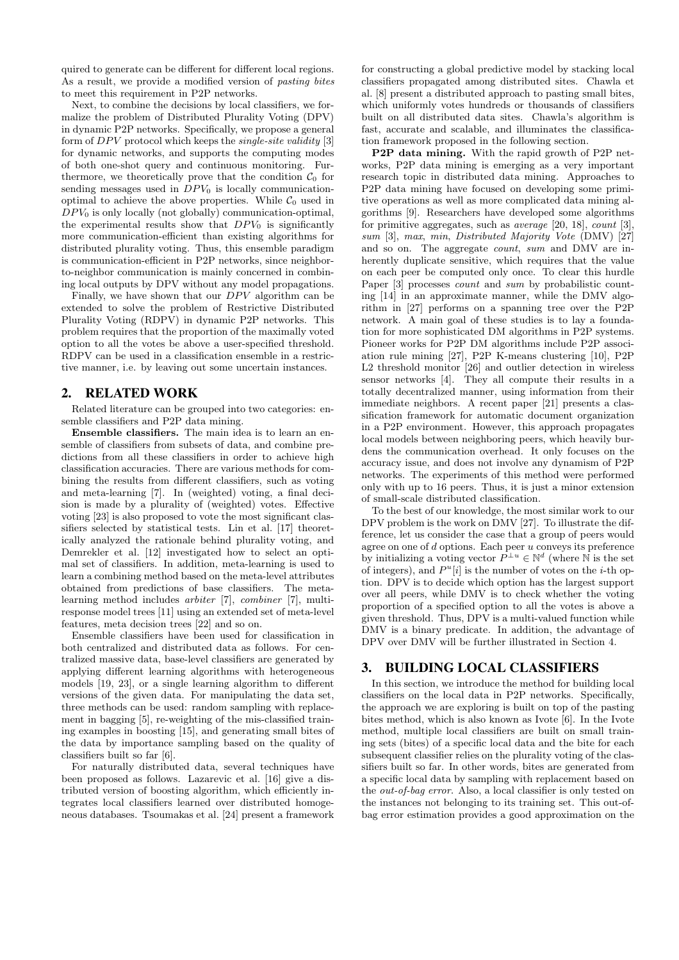quired to generate can be different for different local regions. As a result, we provide a modified version of pasting bites to meet this requirement in P2P networks.

Next, to combine the decisions by local classifiers, we formalize the problem of Distributed Plurality Voting (DPV) in dynamic P2P networks. Specifically, we propose a general form of  $DPV$  protocol which keeps the *single-site validity* [3] for dynamic networks, and supports the computing modes of both one-shot query and continuous monitoring. Furthermore, we theoretically prove that the condition  $\mathcal{C}_0$  for sending messages used in  $DPV_0$  is locally communicationoptimal to achieve the above properties. While  $\mathcal{C}_0$  used in  $DPV_0$  is only locally (not globally) communication-optimal, the experimental results show that  $DPV_0$  is significantly more communication-efficient than existing algorithms for distributed plurality voting. Thus, this ensemble paradigm is communication-efficient in P2P networks, since neighborto-neighbor communication is mainly concerned in combining local outputs by DPV without any model propagations.

Finally, we have shown that our  $DPV$  algorithm can be extended to solve the problem of Restrictive Distributed Plurality Voting (RDPV) in dynamic P2P networks. This problem requires that the proportion of the maximally voted option to all the votes be above a user-specified threshold. RDPV can be used in a classification ensemble in a restrictive manner, i.e. by leaving out some uncertain instances.

## 2. RELATED WORK

Related literature can be grouped into two categories: ensemble classifiers and P2P data mining.

Ensemble classifiers. The main idea is to learn an ensemble of classifiers from subsets of data, and combine predictions from all these classifiers in order to achieve high classification accuracies. There are various methods for combining the results from different classifiers, such as voting and meta-learning [7]. In (weighted) voting, a final decision is made by a plurality of (weighted) votes. Effective voting [23] is also proposed to vote the most significant classifiers selected by statistical tests. Lin et al. [17] theoretically analyzed the rationale behind plurality voting, and Demrekler et al. [12] investigated how to select an optimal set of classifiers. In addition, meta-learning is used to learn a combining method based on the meta-level attributes obtained from predictions of base classifiers. The metalearning method includes arbiter [7], combiner [7], multiresponse model trees [11] using an extended set of meta-level features, meta decision trees [22] and so on.

Ensemble classifiers have been used for classification in both centralized and distributed data as follows. For centralized massive data, base-level classifiers are generated by applying different learning algorithms with heterogeneous models [19, 23], or a single learning algorithm to different versions of the given data. For manipulating the data set, three methods can be used: random sampling with replacement in bagging [5], re-weighting of the mis-classified training examples in boosting [15], and generating small bites of the data by importance sampling based on the quality of classifiers built so far [6].

For naturally distributed data, several techniques have been proposed as follows. Lazarevic et al. [16] give a distributed version of boosting algorithm, which efficiently integrates local classifiers learned over distributed homogeneous databases. Tsoumakas et al. [24] present a framework

for constructing a global predictive model by stacking local classifiers propagated among distributed sites. Chawla et al. [8] present a distributed approach to pasting small bites, which uniformly votes hundreds or thousands of classifiers built on all distributed data sites. Chawla's algorithm is fast, accurate and scalable, and illuminates the classification framework proposed in the following section.

P2P data mining. With the rapid growth of P2P networks, P2P data mining is emerging as a very important research topic in distributed data mining. Approaches to P2P data mining have focused on developing some primitive operations as well as more complicated data mining algorithms [9]. Researchers have developed some algorithms for primitive aggregates, such as average [20, 18], count [3], sum [3], max, min, Distributed Majority Vote (DMV) [27] and so on. The aggregate count, sum and DMV are inherently duplicate sensitive, which requires that the value on each peer be computed only once. To clear this hurdle Paper [3] processes *count* and *sum* by probabilistic counting [14] in an approximate manner, while the DMV algorithm in [27] performs on a spanning tree over the P2P network. A main goal of these studies is to lay a foundation for more sophisticated DM algorithms in P2P systems. Pioneer works for P2P DM algorithms include P2P association rule mining [27], P2P K-means clustering [10], P2P L2 threshold monitor [26] and outlier detection in wireless sensor networks [4]. They all compute their results in a totally decentralized manner, using information from their immediate neighbors. A recent paper [21] presents a classification framework for automatic document organization in a P2P environment. However, this approach propagates local models between neighboring peers, which heavily burdens the communication overhead. It only focuses on the accuracy issue, and does not involve any dynamism of P2P networks. The experiments of this method were performed only with up to 16 peers. Thus, it is just a minor extension of small-scale distributed classification.

To the best of our knowledge, the most similar work to our DPV problem is the work on DMV [27]. To illustrate the difference, let us consider the case that a group of peers would agree on one of  $d$  options. Each peer  $u$  conveys its preference by initializing a voting vector  $P^{\perp u} \in \mathbb{N}^d$  (where  $\mathbb N$  is the set of integers), and  $P^u[i]$  is the number of votes on the *i*-th option. DPV is to decide which option has the largest support over all peers, while DMV is to check whether the voting proportion of a specified option to all the votes is above a given threshold. Thus, DPV is a multi-valued function while DMV is a binary predicate. In addition, the advantage of DPV over DMV will be further illustrated in Section 4.

## 3. BUILDING LOCAL CLASSIFIERS

In this section, we introduce the method for building local classifiers on the local data in P2P networks. Specifically, the approach we are exploring is built on top of the pasting bites method, which is also known as Ivote [6]. In the Ivote method, multiple local classifiers are built on small training sets (bites) of a specific local data and the bite for each subsequent classifier relies on the plurality voting of the classifiers built so far. In other words, bites are generated from a specific local data by sampling with replacement based on the out-of-bag error. Also, a local classifier is only tested on the instances not belonging to its training set. This out-ofbag error estimation provides a good approximation on the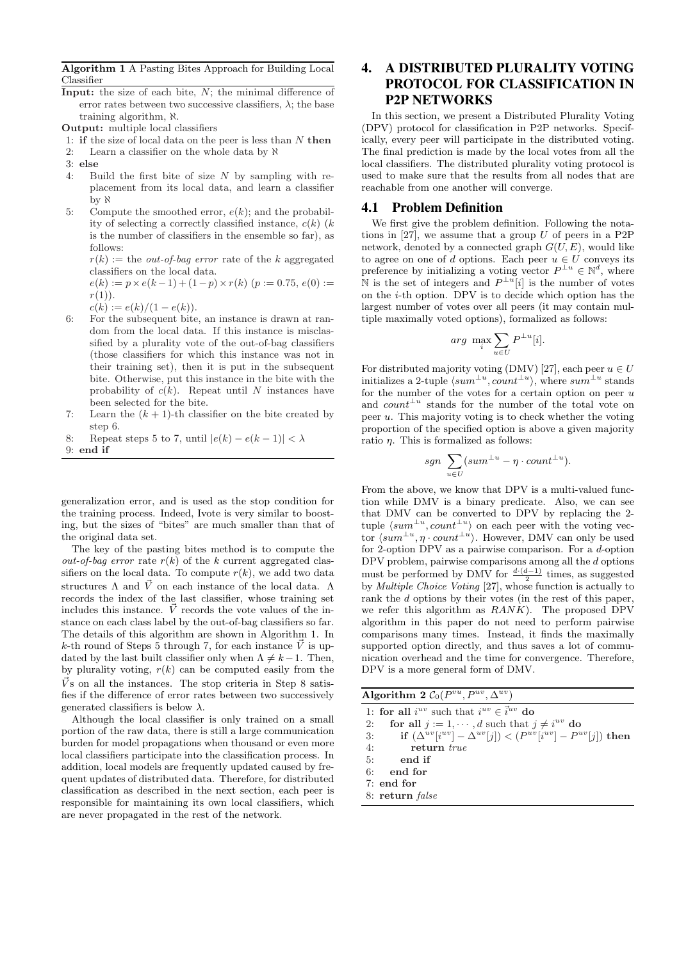Algorithm 1 A Pasting Bites Approach for Building Local Classifier

**Input:** the size of each bite,  $N$ ; the minimal difference of error rates between two successive classifiers,  $\lambda$ ; the base training algorithm, ℵ.

Output: multiple local classifiers

- 1: if the size of local data on the peer is less than  $N$  then
- 2: Learn a classifier on the whole data by  $\aleph$
- 3: else
- 4: Build the first bite of size  $N$  by sampling with replacement from its local data, and learn a classifier by ℵ
- 5: Compute the smoothed error,  $e(k)$ ; and the probability of selecting a correctly classified instance,  $c(k)$  (k) is the number of classifiers in the ensemble so far), as follows:

 $r(k) :=$  the *out-of-bag error* rate of the k aggregated classifiers on the local data.

 $e(k) := p \times e(k-1) + (1-p) \times r(k)$  ( $p := 0.75, e(0) :=$  $r(1)$ ).

- $c(k) := e(k)/(1-e(k)).$
- 6: For the subsequent bite, an instance is drawn at random from the local data. If this instance is misclassified by a plurality vote of the out-of-bag classifiers (those classifiers for which this instance was not in their training set), then it is put in the subsequent bite. Otherwise, put this instance in the bite with the probability of  $c(k)$ . Repeat until N instances have been selected for the bite.
- 7: Learn the  $(k + 1)$ -th classifier on the bite created by step 6.
- 8: Repeat steps 5 to 7, until  $|e(k) e(k-1)| < \lambda$

9: end if

generalization error, and is used as the stop condition for the training process. Indeed, Ivote is very similar to boosting, but the sizes of "bites" are much smaller than that of the original data set.

The key of the pasting bites method is to compute the *out-of-bag error* rate  $r(k)$  of the k current aggregated classifiers on the local data. To compute  $r(k)$ , we add two data structures  $\Lambda$  and  $\vec{V}$  on each instance of the local data.  $\Lambda$ records the index of the last classifier, whose training set includes this instance.  $\vec{V}$  records the vote values of the instance on each class label by the out-of-bag classifiers so far. The details of this algorithm are shown in Algorithm 1. In k-th round of Steps 5 through 7, for each instance  $\vec{V}$  is updated by the last built classifier only when  $\Lambda \neq k-1$ . Then, by plurality voting,  $r(k)$  can be computed easily from the  $\vec{V}$ s on all the instances. The stop criteria in Step 8 satisfies if the difference of error rates between two successively generated classifiers is below  $\lambda$ .

Although the local classifier is only trained on a small portion of the raw data, there is still a large communication burden for model propagations when thousand or even more local classifiers participate into the classification process. In addition, local models are frequently updated caused by frequent updates of distributed data. Therefore, for distributed classification as described in the next section, each peer is responsible for maintaining its own local classifiers, which are never propagated in the rest of the network.

# 4. A DISTRIBUTED PLURALITY VOTING PROTOCOL FOR CLASSIFICATION IN P2P NETWORKS

In this section, we present a Distributed Plurality Voting (DPV) protocol for classification in P2P networks. Specifically, every peer will participate in the distributed voting. The final prediction is made by the local votes from all the local classifiers. The distributed plurality voting protocol is used to make sure that the results from all nodes that are reachable from one another will converge.

## 4.1 Problem Definition

We first give the problem definition. Following the notations in  $[27]$ , we assume that a group U of peers in a P2P network, denoted by a connected graph  $G(U, E)$ , would like to agree on one of d options. Each peer  $u \in U$  conveys its preference by initializing a voting vector  $P^{\perp u} \in \mathbb{N}^d$ , where N is the set of integers and  $P^{\perp u}[i]$  is the number of votes on the  $i$ -th option. DPV is to decide which option has the largest number of votes over all peers (it may contain multiple maximally voted options), formalized as follows:

$$
arg \ \max_{i} \sum_{u \in U} P^{\perp u}[i].
$$

For distributed majority voting (DMV) [27], each peer  $u \in U$ initializes a 2-tuple  $\langle sum^{\perp u}, count^{\perp u} \rangle$ , where  $sum^{\perp u}$  stands for the number of the votes for a certain option on peer  $u$ and  $count^{\perp u}$  stands for the number of the total vote on peer  $u$ . This majority voting is to check whether the voting proportion of the specified option is above a given majority ratio  $\eta$ . This is formalized as follows:

$$
sgn \sum_{u \in U} (sum^{\perp u} - \eta \cdot count^{\perp u}).
$$

From the above, we know that DPV is a multi-valued function while DMV is a binary predicate. Also, we can see that DMV can be converted to DPV by replacing the 2 tuple  $\langle sum^{\perp u}, count^{\perp u} \rangle$  on each peer with the voting vector  $\langle sum^{\perp u}, \eta \cdot count^{\perp u} \rangle$ . However, DMV can only be used for 2-option DPV as a pairwise comparison. For a d-option DPV problem, pairwise comparisons among all the d options must be performed by DMV for  $\frac{d \cdot (d-1)}{2}$  times, as suggested by Multiple Choice Voting [27], whose function is actually to rank the d options by their votes (in the rest of this paper, we refer this algorithm as  $RANK$ ). The proposed DPV algorithm in this paper do not need to perform pairwise comparisons many times. Instead, it finds the maximally supported option directly, and thus saves a lot of communication overhead and the time for convergence. Therefore, DPV is a more general form of DMV.

| Algorithm 2 $C_0(P^{vu}, P^{uv}, \Delta^{uv})$                                        |
|---------------------------------------------------------------------------------------|
| 1: for all $i^{uv}$ such that $i^{uv} \in \vec{i}^{uv}$ do                            |
| for all $j := 1, \dots, d$ such that $j \neq i^{uv}$ do<br>2:                         |
| if $(\Delta^{uv}[i^{uv}] - \Delta^{uv}[j]) < (P^{uv}[i^{uv}] - P^{uv}[j])$ then<br>3: |
| 4: return true                                                                        |
| $5:$ end if                                                                           |
| 6:<br>end for                                                                         |
| $7:$ end for                                                                          |
| 8: return <i>false</i>                                                                |
|                                                                                       |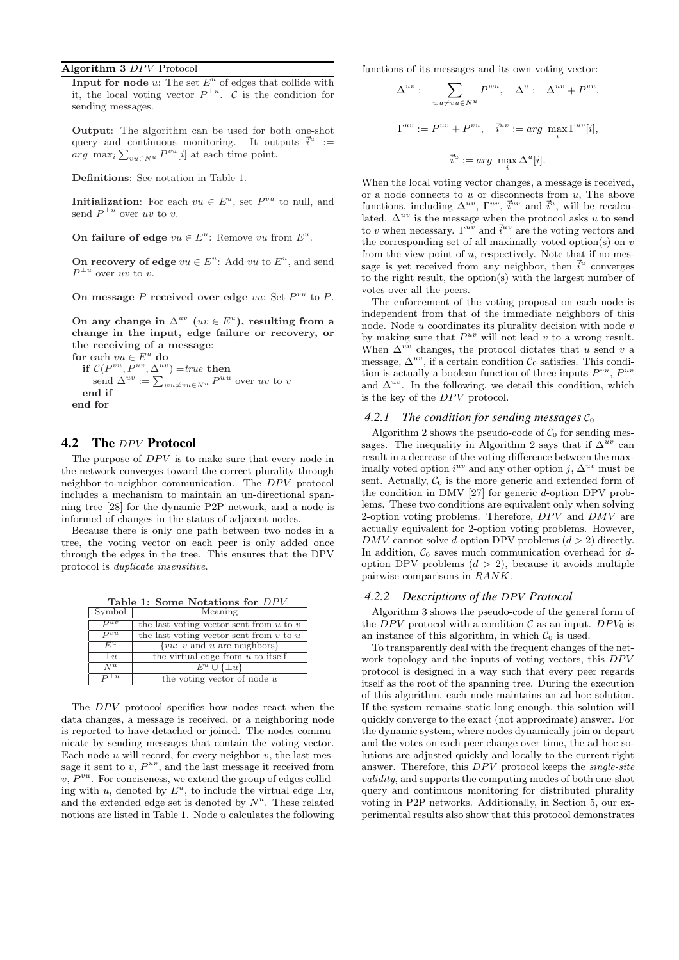## Algorithm  $3$   $DPV$  Protocol

Input for node  $u$ : The set  $E^u$  of edges that collide with it, the local voting vector  $P^{\perp u}$ . C is the condition for sending messages.

Output: The algorithm can be used for both one-shot query and continuous monitoring. It outputs  $\vec{i}^u$  :=  $arg \max_{i} \sum_{vu \in N^u} P^{vu}[i]$  at each time point.

Definitions: See notation in Table 1.

**Initialization:** For each  $vu \in E^u$ , set  $P^{vu}$  to null, and send  $P^{\perp u}$  over uv to v.

On failure of edge  $vu \in E^u$ : Remove vu from  $E^u$ .

On recovery of edge  $vu \in E^u$ : Add  $vu$  to  $E^u$ , and send  $P^{\perp u}$  over uv to v.

On message  $P$  received over edge  $vu$ : Set  $P^{vu}$  to  $P$ .

On any change in  $\Delta^{uv}$  ( $uv \in E^u$ ), resulting from a change in the input, edge failure or recovery, or the receiving of a message:

for each  $vu \in E^u$  do if  $C(P^{vu}, P^{uv}, \Delta^{uv}) = true$  then<br>send  $\Delta^{uv} := \sum_{wu \neq vu \in N^u} P^{wu}$  over uv to v end if end for

#### 4.2 The DPV Protocol

The purpose of  $DPV$  is to make sure that every node in the network converges toward the correct plurality through neighbor-to-neighbor communication. The  $DPV$  protocol includes a mechanism to maintain an un-directional spanning tree [28] for the dynamic P2P network, and a node is informed of changes in the status of adjacent nodes.

Because there is only one path between two nodes in a tree, the voting vector on each peer is only added once through the edges in the tree. This ensures that the DPV protocol is duplicate insensitive.

Table 1: Some Notations for  $DPV$ 

| Symbol              | Meaning                                           |
|---------------------|---------------------------------------------------|
| $\overline{P^{uv}}$ | the last voting vector sent from $u$ to $v$       |
| $\overline{P^{vu}}$ | the last voting vector sent from $v$ to $u$       |
| $F^u$               | $\{vu: v \text{ and } u \text{ are neighbors}\}\$ |
| u                   | the virtual edge from $u$ to itself               |
| $\overline{N^u}$    | $E^u \cup \{\perp u\}$                            |
| $P^{\perp u}$       | the voting vector of node $u$                     |

The  $DPV$  protocol specifies how nodes react when the data changes, a message is received, or a neighboring node is reported to have detached or joined. The nodes communicate by sending messages that contain the voting vector. Each node  $u$  will record, for every neighbor  $v$ , the last message it sent to  $v, P^{uv}$ , and the last message it received from  $v, P^{vu}$ . For conciseness, we extend the group of edges colliding with u, denoted by  $E^u$ , to include the virtual edge  $\perp u$ , and the extended edge set is denoted by  $N^u$ . These related notions are listed in Table 1. Node  $u$  calculates the following functions of its messages and its own voting vector:

$$
\Delta^{uv} := \sum_{wu \ne vu \in N^u} P^{wu}, \quad \Delta^u := \Delta^{uv} + P^{vu},
$$
  

$$
\Gamma^{uv} := P^{uv} + P^{vu}, \quad \vec{i}^{uv} := arg \max_i \Gamma^{uv}[i],
$$
  

$$
\vec{i}^u := arg \max_i \Delta^u[i].
$$

When the local voting vector changes, a message is received, or a node connects to  $u$  or disconnects from  $u$ , The above functions, including  $\Delta^{uv}$ ,  $\overline{\iota}^{uv}$ ,  $\overline{\iota}^{uv}$  and  $\overline{\iota}^{u}$ , will be recalculated.  $\Delta^{uv}$  is the message when the protocol asks u to send to v when necessary.  $\Gamma^{u\overline{v}}$  and  $\overline{i}^{uv}$  are the voting vectors and the corresponding set of all maximally voted option(s) on  $v$ from the view point of  $u$ , respectively. Note that if no message is yet received from any neighbor, then  $\vec{i}^u$  converges to the right result, the option(s) with the largest number of votes over all the peers.

The enforcement of the voting proposal on each node is independent from that of the immediate neighbors of this node. Node  $u$  coordinates its plurality decision with node  $v$ by making sure that  $P^{uv}$  will not lead v to a wrong result. When  $\Delta^{uv}$  changes, the protocol dictates that u send v a message,  $\Delta^{uv}$ , if a certain condition  $\mathcal{C}_0$  satisfies. This condition is actually a boolean function of three inputs  $P^{vu}$ ,  $P^{uv}$ and  $\Delta^{uv}$ . In the following, we detail this condition, which is the key of the  $DPV$  protocol.

#### 4.2.1 The condition for sending messages  $C_0$

Algorithm 2 shows the pseudo-code of  $C_0$  for sending messages. The inequality in Algorithm 2 says that if  $\Delta^{uv}$  can result in a decrease of the voting difference between the maximally voted option  $i^{uv}$  and any other option j,  $\Delta^{uv}$  must be sent. Actually,  $C_0$  is the more generic and extended form of the condition in DMV [27] for generic d-option DPV problems. These two conditions are equivalent only when solving 2-option voting problems. Therefore,  $DPV$  and  $DMV$  are actually equivalent for 2-option voting problems. However,  $DMV$  cannot solve d-option DPV problems  $(d > 2)$  directly. In addition,  $C_0$  saves much communication overhead for doption DPV problems  $(d > 2)$ , because it avoids multiple pairwise comparisons in RANK.

#### 4.2.2 Descriptions of the DPV Protocol

Algorithm 3 shows the pseudo-code of the general form of the DPV protocol with a condition  $\mathcal C$  as an input. DPV<sub>0</sub> is an instance of this algorithm, in which  $C_0$  is used.

To transparently deal with the frequent changes of the network topology and the inputs of voting vectors, this  $DPV$ protocol is designed in a way such that every peer regards itself as the root of the spanning tree. During the execution of this algorithm, each node maintains an ad-hoc solution. If the system remains static long enough, this solution will quickly converge to the exact (not approximate) answer. For the dynamic system, where nodes dynamically join or depart and the votes on each peer change over time, the ad-hoc solutions are adjusted quickly and locally to the current right answer. Therefore, this  $DPV$  protocol keeps the *single-site* validity, and supports the computing modes of both one-shot query and continuous monitoring for distributed plurality voting in P2P networks. Additionally, in Section 5, our experimental results also show that this protocol demonstrates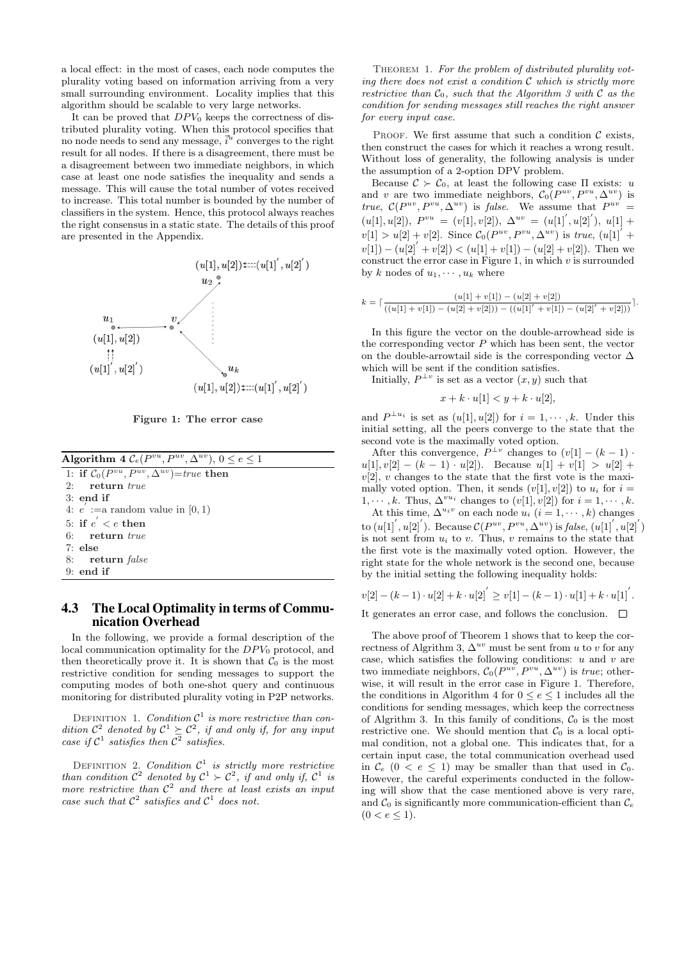a local effect: in the most of cases, each node computes the plurality voting based on information arriving from a very small surrounding environment. Locality implies that this algorithm should be scalable to very large networks.

It can be proved that  $DPV_0$  keeps the correctness of distributed plurality voting. When this protocol specifies that no node needs to send any message,  $\vec{i}^{\hat{u}}$  converges to the right result for all nodes. If there is a disagreement, there must be a disagreement between two immediate neighbors, in which case at least one node satisfies the inequality and sends a message. This will cause the total number of votes received to increase. This total number is bounded by the number of classifiers in the system. Hence, this protocol always reaches the right consensus in a static state. The details of this proof are presented in the Appendix.



Figure 1: The error case

| <b>Algorithm 4</b> $\mathcal{C}_e(P^{vu}, P^{uv}, \Delta^{uv}), 0 \le e \le 1$ |
|--------------------------------------------------------------------------------|
| 1: if $C_0(P^{vu}, P^{uv}, \Delta^{uv})$ =true then                            |
| 2: return $true$                                                               |
| $3:$ end if                                                                    |
| 4: $e := a$ random value in [0, 1]                                             |
| 5: if $e' < e$ then                                                            |
| $6:$ return true                                                               |
| $7:$ else                                                                      |
| 8: return false                                                                |
| $9:$ end if                                                                    |
|                                                                                |

## 4.3 The Local Optimality in terms of Communication Overhead

In the following, we provide a formal description of the local communication optimality for the  $DPV_0$  protocol, and then theoretically prove it. It is shown that  $C_0$  is the most restrictive condition for sending messages to support the computing modes of both one-shot query and continuous monitoring for distributed plurality voting in P2P networks.

DEFINITION 1. Condition  $C^1$  is more restrictive than condition  $\mathcal{C}^2$  denoted by  $\mathcal{C}^1 \succeq \mathcal{C}^2$ , if and only if, for any input case if  $C^1$  satisfies then  $C^2$  satisfies.

DEFINITION 2. Condition  $\mathcal{C}^1$  is strictly more restrictive than condition  $\mathcal{C}^2$  denoted by  $\mathcal{C}^1 \succ \mathcal{C}^2$ , if and only if,  $\mathcal{C}^1$  is more restrictive than  $\mathcal{C}^2$  and there at least exists an input case such that  $\mathcal{C}^2$  satisfies and  $\mathcal{C}^1$  does not.

THEOREM 1. For the problem of distributed plurality voting there does not exist a condition C which is strictly more restrictive than  $C_0$ , such that the Algorithm 3 with  $C$  as the condition for sending messages still reaches the right answer for every input case.

PROOF. We first assume that such a condition  $\mathcal C$  exists, then construct the cases for which it reaches a wrong result. Without loss of generality, the following analysis is under the assumption of a 2-option DPV problem.

Because  $\mathcal{C} \succ \mathcal{C}_0$ , at least the following case  $\Pi$  exists: u and v are two immediate neighbors,  $\mathcal{C}_0(P^{uv}, P^{vu}, \Delta^{uv})$  is true,  $\mathcal{C}(P^{uv}, P^{vu}, \Delta^{uv})$  is false. We assume that  $P^{uv} =$  $(u[1], u[2]), P^{vu} = (v[1], v[2]), \Delta^{uv} = (u[1], u[2]), u[1] +$  $v[1] > u[2] + v[2]$ . Since  $C_0(P^{uv}, P^{vu}, \Delta^{uv})$  is true,  $(u[1]^{U} +$  $v[1] - (u[2]' + v[2]) < (u[1] + v[1]) - (u[2] + v[2])$ . Then we construct the error case in Figure 1, in which  $v$  is surrounded by k nodes of  $u_1, \dots, u_k$  where

$$
k = \lceil \frac{(u[1] + v[1]) - (u[2] + v[2])}{((u[1] + v[1]) - (u[2] + v[2])) - ((u[1]' + v[1]) - (u[2]' + v[2]))} \rceil.
$$

In this figure the vector on the double-arrowhead side is the corresponding vector  $P$  which has been sent, the vector on the double-arrowtail side is the corresponding vector  $\Delta$ which will be sent if the condition satisfies.

Initially,  $P^{\perp v}$  is set as a vector  $(x, y)$  such that

$$
x + k \cdot u[1] < y + k \cdot u[2],
$$

and  $P^{\perp u_i}$  is set as  $(u[1], u[2])$  for  $i = 1, \dots, k$ . Under this initial setting, all the peers converge to the state that the second vote is the maximally voted option.

After this convergence,  $P^{\perp v}$  changes to  $(v[1] - (k-1)$ .  $u[1], v[2] - (k-1) \cdot u[2])$ . Because  $u[1] + v[1] > u[2] +$  $v[2], v$  changes to the state that the first vote is the maximally voted option. Then, it sends  $(v[1], v[2])$  to  $u_i$  for  $i =$  $1, \dots, k$ . Thus,  $\Delta^{vu_i}$  changes to  $(v[1], v[2])$  for  $i = 1, \dots, k$ . At this time,  $\Delta^{u_i v}$  on each node  $u_i$   $(i = 1, \dots, k)$  changes to  $(u[1', u[2'])$ . Because  $\mathcal{C}(P^{uv}, P^{vu}, \Delta^{uv})$  is false,  $(u[1', u[2'])$ is not sent from  $u_i$  to  $v$ . Thus,  $v$  remains to the state that the first vote is the maximally voted option. However, the right state for the whole network is the second one, because

$$
v[2] - (k-1) \cdot u[2] + k \cdot u[2] \leq v[1] - (k-1) \cdot u[1] + k \cdot u[1] \,.
$$

It generates an error case, and follows the conclusion.  $\Box$ 

by the initial setting the following inequality holds:

The above proof of Theorem 1 shows that to keep the correctness of Algrithm 3,  $\Delta^{uv}$  must be sent from u to v for any case, which satisfies the following conditions:  $u$  and  $v$  are two immediate neighbors,  $C_0(P^{uv}, P^{vu}, \Delta^{uv})$  is *true*; otherwise, it will result in the error case in Figure 1. Therefore, the conditions in Algorithm 4 for  $0 \le e \le 1$  includes all the conditions for sending messages, which keep the correctness of Algrithm 3. In this family of conditions,  $C_0$  is the most restrictive one. We should mention that  $\mathcal{C}_0$  is a local optimal condition, not a global one. This indicates that, for a certain input case, the total communication overhead used in  $\mathcal{C}_e$  (0 < e  $\leq$  1) may be smaller than that used in  $\mathcal{C}_0$ . However, the careful experiments conducted in the following will show that the case mentioned above is very rare, and  $\mathcal{C}_0$  is significantly more communication-efficient than  $\mathcal{C}_e$  $(0 < e \leq 1).$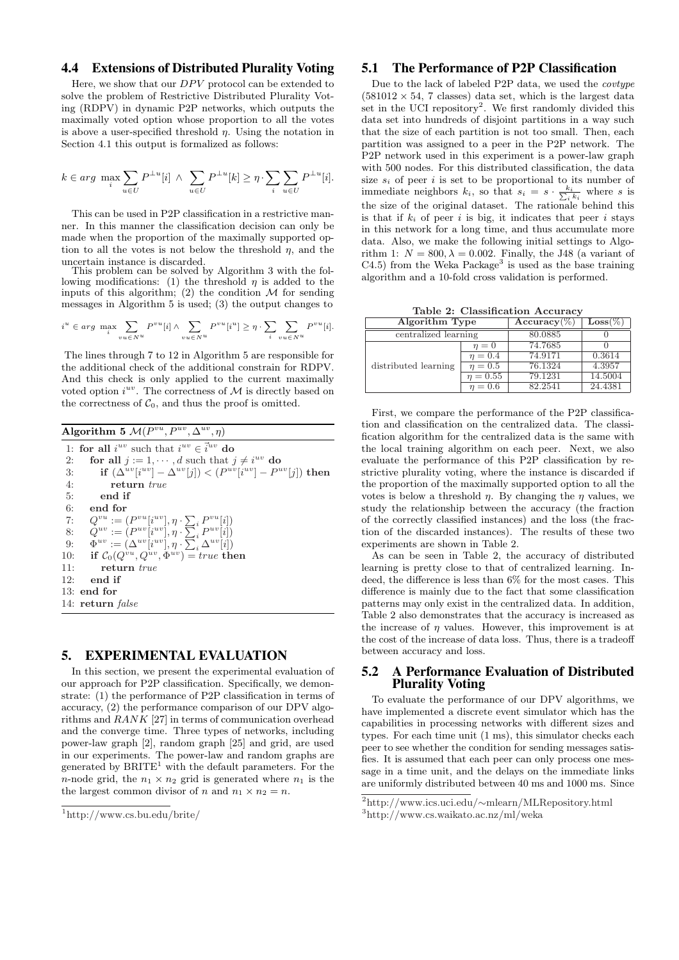#### 4.4 Extensions of Distributed Plurality Voting

Here, we show that our  $DPV$  protocol can be extended to solve the problem of Restrictive Distributed Plurality Voting (RDPV) in dynamic P2P networks, which outputs the maximally voted option whose proportion to all the votes is above a user-specified threshold  $\eta$ . Using the notation in Section 4.1 this output is formalized as follows:

$$
k \in arg \ \max_i \sum_{u \in U} P^{\perp u}[i] \ \wedge \ \sum_{u \in U} P^{\perp u}[k] \geq \eta \cdot \sum_i \sum_{u \in U} P^{\perp u}[i].
$$

This can be used in P2P classification in a restrictive manner. In this manner the classification decision can only be made when the proportion of the maximally supported option to all the votes is not below the threshold  $\eta$ , and the uncertain instance is discarded.

This problem can be solved by Algorithm 3 with the following modifications: (1) the threshold  $\eta$  is added to the inputs of this algorithm; (2) the condition  $\mathcal M$  for sending messages in Algorithm 5 is used; (3) the output changes to

$$
iu \in arg \max_{i} \sum_{vu \in N^{u}} P^{vu}[i] \wedge \sum_{vu \in N^{u}} P^{vu}[iu] \ge \eta \cdot \sum_{i} \sum_{vu \in N^{u}} P^{vu}[i].
$$

The lines through 7 to 12 in Algorithm 5 are responsible for the additional check of the additional constrain for RDPV. And this check is only applied to the current maximally voted option  $i^{uv}$ . The correctness of M is directly based on the correctness of  $C_0$ , and thus the proof is omitted.

|     | Algorithm 5 $\mathcal{M}(P^{vu}, P^{uv}, \Delta^{uv}, \eta)$                    |
|-----|---------------------------------------------------------------------------------|
|     | 1: for all $i^{uv}$ such that $i^{uv} \in \vec{i}^{uv}$ do                      |
| 2:  | for all $j := 1, \dots, d$ such that $j \neq i^{uv}$ do                         |
| 3:  | if $(\Delta^{uv}[i^{uv}] - \Delta^{uv}[j]) < (P^{uv}[i^{uv}] - P^{uv}[j])$ then |
| 4:  | return true                                                                     |
| 5:  | end if                                                                          |
| 6:  | end for                                                                         |
| 7:  | $Q^{vu} := (P^{vu}[i^{uv}], \eta \cdot \sum_i P^{vu}[i])$                       |
| 8:  | $Q^{uv} := (P^{uv}[i^{uv}], \eta \cdot \sum_i P^{uv}[i])$                       |
| 9:  | $\Phi^{uv} := (\Delta^{uv}[i^{uv}], \eta \cdot \sum_i \Delta^{uv}[i])$          |
| 10: | if $C_0(Q^{vu}, Q^{uv}, \Phi^{uv}) = true$ then                                 |
| 11: | return true                                                                     |
| 12: | end if                                                                          |
|     | $13:$ end for                                                                   |
|     | 14: return <i>false</i>                                                         |

#### 5. EXPERIMENTAL EVALUATION

In this section, we present the experimental evaluation of our approach for P2P classification. Specifically, we demonstrate: (1) the performance of P2P classification in terms of accuracy, (2) the performance comparison of our DPV algorithms and RANK [27] in terms of communication overhead and the converge time. Three types of networks, including power-law graph [2], random graph [25] and grid, are used in our experiments. The power-law and random graphs are generated by  $BRITE<sup>1</sup>$  with the default parameters. For the *n*-node grid, the  $n_1 \times n_2$  grid is generated where  $n_1$  is the the largest common divisor of n and  $n_1 \times n_2 = n$ .

#### 5.1 The Performance of P2P Classification

Due to the lack of labeled P2P data, we used the covtype  $(581012 \times 54, 7 \text{ classes})$  data set, which is the largest data set in the UCI repository<sup>2</sup>. We first randomly divided this data set into hundreds of disjoint partitions in a way such that the size of each partition is not too small. Then, each partition was assigned to a peer in the P2P network. The P2P network used in this experiment is a power-law graph with 500 nodes. For this distributed classification, the data size  $s_i$  of peer i is set to be proportional to its number of immediate neighbors  $k_i$ , so that  $s_i = s \cdot \frac{k_i}{\sum_i k_i}$  where s is the size of the original dataset. The rationale behind this is that if  $k_i$  of peer i is big, it indicates that peer i stays in this network for a long time, and thus accumulate more data. Also, we make the following initial settings to Algorithm 1:  $N = 800, \lambda = 0.002$ . Finally, the J48 (a variant of  $C4.5$ ) from the Weka Package<sup>3</sup> is used as the base training algorithm and a 10-fold cross validation is performed.

Table 2: Classification Accuracy

| Algorithm Type       |               | Accuracy $(\%)$      | $\text{Loss}(\%)$ |
|----------------------|---------------|----------------------|-------------------|
| centralized learning |               | 80.0885              |                   |
|                      | $\eta=0$      | 74.7685              |                   |
|                      | $n=0.4$       | 74.9171              | 0.3614            |
| distributed learning | $n=0.5$       | 76.1324              | 4.3957            |
|                      | $\eta = 0.55$ | 79.1231              | 14.5004           |
|                      | $n=0.6$       | $82.25\overline{41}$ | 24.4381           |

First, we compare the performance of the P2P classification and classification on the centralized data. The classification algorithm for the centralized data is the same with the local training algorithm on each peer. Next, we also evaluate the performance of this P2P classification by restrictive plurality voting, where the instance is discarded if the proportion of the maximally supported option to all the votes is below a threshold  $n$ . By changing the  $n$  values, we study the relationship between the accuracy (the fraction of the correctly classified instances) and the loss (the fraction of the discarded instances). The results of these two experiments are shown in Table 2.

As can be seen in Table 2, the accuracy of distributed learning is pretty close to that of centralized learning. Indeed, the difference is less than 6% for the most cases. This difference is mainly due to the fact that some classification patterns may only exist in the centralized data. In addition, Table 2 also demonstrates that the accuracy is increased as the increase of  $\eta$  values. However, this improvement is at the cost of the increase of data loss. Thus, there is a tradeoff between accuracy and loss.

#### 5.2 A Performance Evaluation of Distributed Plurality Voting

To evaluate the performance of our DPV algorithms, we have implemented a discrete event simulator which has the capabilities in processing networks with different sizes and types. For each time unit (1 ms), this simulator checks each peer to see whether the condition for sending messages satisfies. It is assumed that each peer can only process one message in a time unit, and the delays on the immediate links are uniformly distributed between 40 ms and 1000 ms. Since

<sup>1</sup>http://www.cs.bu.edu/brite/

<sup>2</sup>http://www.ics.uci.edu/∼mlearn/MLRepository.html

<sup>3</sup>http://www.cs.waikato.ac.nz/ml/weka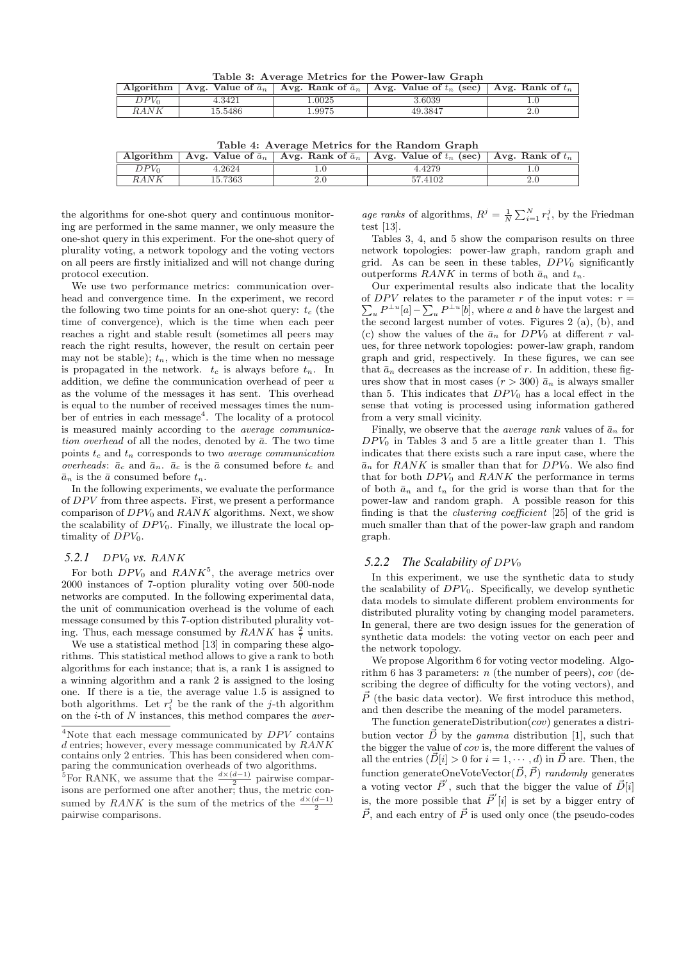Table 3: Average Metrics for the Power-law Graph

|         |         |       | Algorithm   Avg. Value of $\bar{a}_n$   Avg. Rank of $\bar{a}_n$   Avg. Value of $t_n$ (sec)   Avg. Rank of $t_n$ |  |
|---------|---------|-------|-------------------------------------------------------------------------------------------------------------------|--|
| $DPV_0$ | 4.3421  | .0025 | -6039 ه                                                                                                           |  |
| RANK    | 15.5486 | .9975 | 49.3847                                                                                                           |  |

Table 4: Average Metrics for the Random Graph

| Algorithm | Avg. Value of $\bar{a}_n$ | Avg. Rank of $\bar{a}_n$   Avg. Value of $t_n$ (sec)   Avg. Rank of $t_n$ |  |
|-----------|---------------------------|---------------------------------------------------------------------------|--|
| DPVo      | 1.2624                    | 4.4279                                                                    |  |
| $_{RANK}$ | 15.7363                   | 57.4102                                                                   |  |

the algorithms for one-shot query and continuous monitoring are performed in the same manner, we only measure the one-shot query in this experiment. For the one-shot query of plurality voting, a network topology and the voting vectors on all peers are firstly initialized and will not change during protocol execution.

We use two performance metrics: communication overhead and convergence time. In the experiment, we record the following two time points for an one-shot query:  $t_c$  (the time of convergence), which is the time when each peer reaches a right and stable result (sometimes all peers may reach the right results, however, the result on certain peer may not be stable);  $t_n$ , which is the time when no message is propagated in the network.  $t_c$  is always before  $t_n$ . In addition, we define the communication overhead of peer  $u$ as the volume of the messages it has sent. This overhead is equal to the number of received messages times the number of entries in each message<sup>4</sup>. The locality of a protocol is measured mainly according to the average communication overhead of all the nodes, denoted by  $\bar{a}$ . The two time points  $t_c$  and  $t_n$  corresponds to two *average communication* overheads:  $\bar{a}_c$  and  $\bar{a}_n$ .  $\bar{a}_c$  is the  $\bar{a}$  consumed before  $t_c$  and  $\bar{a}_n$  is the  $\bar{a}$  consumed before  $t_n$ .

In the following experiments, we evaluate the performance of  $DPV$  from three aspects. First, we present a performance comparison of  $DPV_0$  and  $RANK$  algorithms. Next, we show the scalability of  $DPV_0$ . Finally, we illustrate the local optimality of  $DPV_0$ .

#### *5.2.1* DP V<sup>0</sup> *vs.* RANK

For both  $DPV_0$  and  $RANK^5$ , the average metrics over 2000 instances of 7-option plurality voting over 500-node networks are computed. In the following experimental data, the unit of communication overhead is the volume of each message consumed by this 7-option distributed plurality voting. Thus, each message consumed by  $RANK$  has  $\frac{2}{7}$  units.

We use a statistical method [13] in comparing these algorithms. This statistical method allows to give a rank to both algorithms for each instance; that is, a rank 1 is assigned to a winning algorithm and a rank 2 is assigned to the losing one. If there is a tie, the average value 1.5 is assigned to both algorithms. Let  $r_i^j$  be the rank of the j-th algorithm on the  $i$ -th of  $N$  instances, this method compares the *aver*- age ranks of algorithms,  $R^j = \frac{1}{N} \sum_{i=1}^N r_i^j$ , by the Friedman test [13].

Tables 3, 4, and 5 show the comparison results on three network topologies: power-law graph, random graph and grid. As can be seen in these tables,  $DPV_0$  significantly outperforms  $RANK$  in terms of both  $\bar{a}_n$  and  $t_n$ .

Our experimental results also indicate that the locality of DPV relates to the parameter r of the input votes:  $r = \sum_{n=1}^{\infty} p! x!$  $_{u}P^{\perp u}[a] - \sum_{u}P^{\perp u}[b]$ , where a and b have the largest and the second largest number of votes. Figures 2 (a), (b), and (c) show the values of the  $\bar{a}_n$  for  $DPV_0$  at different r values, for three network topologies: power-law graph, random graph and grid, respectively. In these figures, we can see that  $\bar{a}_n$  decreases as the increase of r. In addition, these figures show that in most cases  $(r > 300) \bar{a}_n$  is always smaller than 5. This indicates that  $DPV_0$  has a local effect in the sense that voting is processed using information gathered from a very small vicinity.

Finally, we observe that the *average rank* values of  $\bar{a}_n$  for  $DPV_0$  in Tables 3 and 5 are a little greater than 1. This indicates that there exists such a rare input case, where the  $\bar{a}_n$  for RANK is smaller than that for  $DPV_0$ . We also find that for both  $DPV_0$  and  $RANK$  the performance in terms of both  $\bar{a}_n$  and  $t_n$  for the grid is worse than that for the power-law and random graph. A possible reason for this finding is that the clustering coefficient [25] of the grid is much smaller than that of the power-law graph and random graph.

#### 5.2.2 The Scalability of DPV<sub>0</sub>

In this experiment, we use the synthetic data to study the scalability of  $DPV_0$ . Specifically, we develop synthetic data models to simulate different problem environments for distributed plurality voting by changing model parameters. In general, there are two design issues for the generation of synthetic data models: the voting vector on each peer and the network topology.

We propose Algorithm 6 for voting vector modeling. Algorithm 6 has 3 parameters:  $n$  (the number of peers),  $cov$  (describing the degree of difficulty for the voting vectors), and  $\vec{P}$  (the basic data vector). We first introduce this method, and then describe the meaning of the model parameters.

The function generateDistribution $(cov)$  generates a distribution vector  $\vec{D}$  by the gamma distribution [1], such that the bigger the value of cov is, the more different the values of all the entries  $(\vec{D}[i] > 0$  for  $i = 1, \dots, d)$  in  $\vec{D}$  are. Then, the function generateOneVoteVector( $\vec{D}, \vec{P}$ ) randomly generates a voting vector  $\vec{P}'$ , such that the bigger the value of  $\vec{D}[i]$ is, the more possible that  $\vec{P}'[i]$  is set by a bigger entry of  $\vec{P}$ , and each entry of  $\vec{P}$  is used only once (the pseudo-codes

<sup>&</sup>lt;sup>4</sup>Note that each message communicated by  $DPV$  contains d entries; however, every message communicated by  $RANK$ contains only 2 entries. This has been considered when comparing the communication overheads of two algorithms.

<sup>&</sup>lt;sup>5</sup>For RANK, we assume that the  $\frac{d \times (d-1)}{2}$  pairwise comparisons are performed one after another; thus, the metric consumed by  $RANK$  is the sum of the metrics of the  $\frac{d \times (d-1)}{2}$ pairwise comparisons.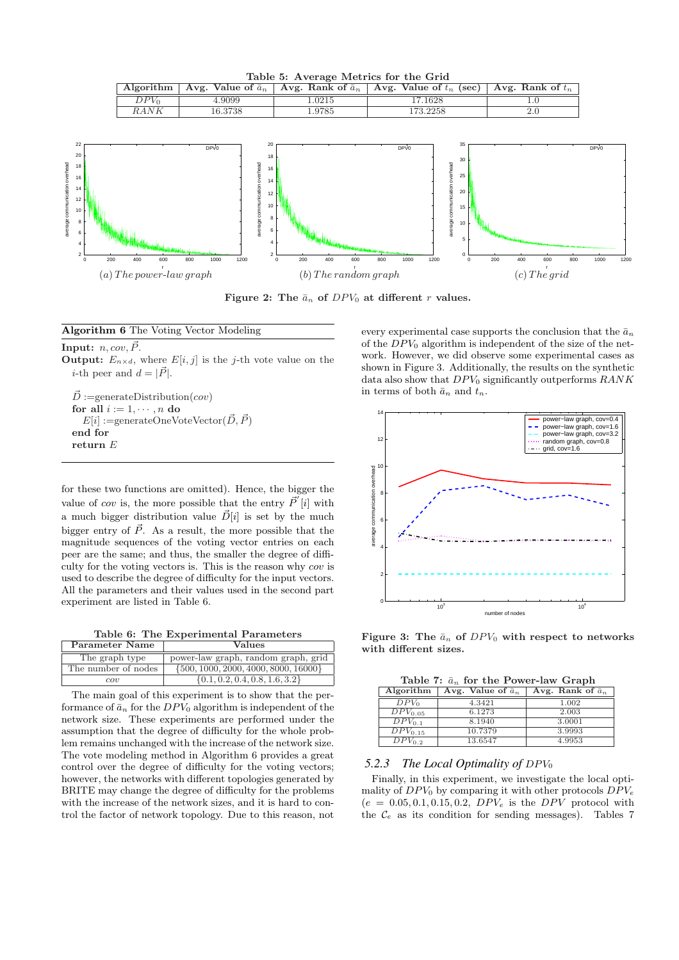Table 5: Average Metrics for the Grid Algorithm | Avg. Value of  $\bar{a}_n$  | Avg. Rank of  $\bar{a}_n$  | Avg. Value of  $t_n$  (sec) | Avg. Rank of  $t_n$  $DPV_0$  4.9099 1.0215 17.1628 1.0

RANK 16.3738 1.9785 1.73.2258 2.0



Figure 2: The  $\bar{a}_n$  of  $DPV_0$  at different r values.

#### Algorithm 6 The Voting Vector Modeling

**Input:**  $n, cov, \vec{P}$ . **Output:**  $E_{n \times d}$ , where  $E[i, j]$  is the j-th vote value on the *i*-th peer and  $d = |\vec{P}|$ .

 $\vec{D}$  :=generateDistribution(cov) for all  $i := 1, \dots, n$  do  $E[i] := \text{generateOneVoteVector}(\vec{D}, \vec{P})$ end for return E

for these two functions are omitted). Hence, the bigger the value of cov is, the more possible that the entry  $\vec{P}'[i]$  with a much bigger distribution value  $\vec{D}[i]$  is set by the much bigger entry of  $\vec{P}$ . As a result, the more possible that the magnitude sequences of the voting vector entries on each peer are the same; and thus, the smaller the degree of difficulty for the voting vectors is. This is the reason why cov is used to describe the degree of difficulty for the input vectors. All the parameters and their values used in the second part experiment are listed in Table 6.

Table 6: The Experimental Parameters

| Parameter Name      | Values                                   |  |
|---------------------|------------------------------------------|--|
| The graph type      | power-law graph, random graph, grid      |  |
| The number of nodes | $\{500, 1000, 2000, 4000, 8000, 16000\}$ |  |
| cov                 | $\{0.1, 0.2, 0.4, 0.8, 1.6, 3.2\}$       |  |

The main goal of this experiment is to show that the performance of  $\bar{a}_n$  for the  $DP\bar{V}_0$  algorithm is independent of the network size. These experiments are performed under the assumption that the degree of difficulty for the whole problem remains unchanged with the increase of the network size. The vote modeling method in Algorithm 6 provides a great control over the degree of difficulty for the voting vectors; however, the networks with different topologies generated by BRITE may change the degree of difficulty for the problems with the increase of the network sizes, and it is hard to control the factor of network topology. Due to this reason, not

every experimental case supports the conclusion that the  $\bar{a}_n$ of the  $DPV_0$  algorithm is independent of the size of the network. However, we did observe some experimental cases as shown in Figure 3. Additionally, the results on the synthetic data also show that  $DPV_0$  significantly outperforms  $RANK$ in terms of both  $\bar{a}_n$  and  $t_n$ .



Figure 3: The  $\bar{a}_n$  of  $DPV_0$  with respect to networks with different sizes.

|  |  |  |  | Table 7: $\bar{a}_n$ for the Power-law Graph |  |
|--|--|--|--|----------------------------------------------|--|
|--|--|--|--|----------------------------------------------|--|

| Algorithm               | Avg. Value of $\bar{a}_n$ | Avg. Rank of $\bar{a}_n$ |
|-------------------------|---------------------------|--------------------------|
| $DPV_0$                 | 4.3421                    | 1.002                    |
| $DPV_{0.05}$            | 6.1273                    | 2.003                    |
| $DPV_{0.1}$             | 8.1940                    | 3.0001                   |
| $\overline{DPV}_{0.15}$ | 10.7379                   | 3.9993                   |
| $DPV_{0,2}$             | 13.6547                   | 4.9953                   |

#### 5.2.3 The Local Optimality of DPV<sub>0</sub>

Finally, in this experiment, we investigate the local optimality of  $DPV_0$  by comparing it with other protocols  $DPV_e$  $(e = 0.05, 0.1, 0.15, 0.2, DPV_e$  is the *DPV* protocol with the  $\mathcal{C}_e$  as its condition for sending messages). Tables 7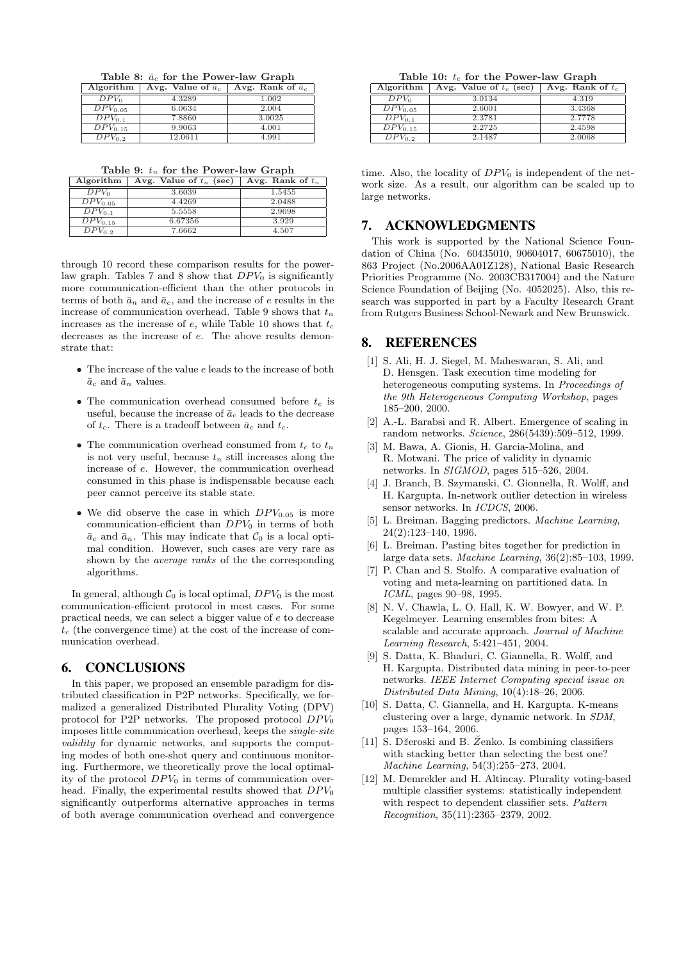Table 8:  $\bar{a}_c$  for the Power-law Graph

| Algorithm               | Avg. Value of $\bar{a}_c$ | Avg. Rank of $\bar{a}_c$ |
|-------------------------|---------------------------|--------------------------|
| $DPV_0$                 | 4.3289                    | 1.002                    |
| $DPV_{0.05}$            | 6.0634                    | 2.004                    |
| $\overline{DPV}_{0.1}$  | 7.8860                    | 3.0025                   |
| $\overline{DPV}_{0.15}$ | 9.9063                    | 4.001                    |
| $DPV_{0.2}$             | 12.0611                   | 4.991                    |

Table 9:  $t_n$  for the Power-law Graph

| Algorithm               | Avg. Value of $t_n$ (sec) | Avg. Rank of $t_n$ |
|-------------------------|---------------------------|--------------------|
| $DPV_0$                 | 3.6039                    | 1.5455             |
| $\overline{D}PV_{0.05}$ | 4.4269                    | 2.0488             |
| $\overline{D}PV_{0.1}$  | 5.5558                    | 2.9698             |
| $\overline{DPV}_{0.15}$ | 6.67356                   | 3.929              |
| $DPV_{0.2}$             | 7.6662                    | 4.507              |

through 10 record these comparison results for the powerlaw graph. Tables 7 and 8 show that  $DPV_0$  is significantly more communication-efficient than the other protocols in terms of both  $\bar{a}_n$  and  $\bar{a}_c$ , and the increase of e results in the increase of communication overhead. Table 9 shows that  $t_n$ increases as the increase of e, while Table 10 shows that  $t_c$ decreases as the increase of e. The above results demonstrate that:

- $\bullet$  The increase of the value  $e$  leads to the increase of both  $\bar{a}_c$  and  $\bar{a}_n$  values.
- The communication overhead consumed before  $t_c$  is useful, because the increase of  $\bar{a}_c$  leads to the decrease of  $t_c$ . There is a tradeoff between  $\bar{a}_c$  and  $t_c$ .
- The communication overhead consumed from  $t_c$  to  $t_n$ is not very useful, because  $t_n$  still increases along the increase of e. However, the communication overhead consumed in this phase is indispensable because each peer cannot perceive its stable state.
- We did observe the case in which  $DPV_{0.05}$  is more communication-efficient than  $DPV_0$  in terms of both  $\bar{a}_c$  and  $\bar{a}_n$ . This may indicate that  $\mathcal{C}_0$  is a local optimal condition. However, such cases are very rare as shown by the average ranks of the the corresponding algorithms.

In general, although  $C_0$  is local optimal,  $DPV_0$  is the most communication-efficient protocol in most cases. For some practical needs, we can select a bigger value of e to decrease  $t_c$  (the convergence time) at the cost of the increase of communication overhead.

## 6. CONCLUSIONS

In this paper, we proposed an ensemble paradigm for distributed classification in P2P networks. Specifically, we formalized a generalized Distributed Plurality Voting (DPV) protocol for P2P networks. The proposed protocol  $DPV_0$ imposes little communication overhead, keeps the single-site validity for dynamic networks, and supports the computing modes of both one-shot query and continuous monitoring. Furthermore, we theoretically prove the local optimality of the protocol  $DPV_0$  in terms of communication overhead. Finally, the experimental results showed that  $DPV_0$ significantly outperforms alternative approaches in terms of both average communication overhead and convergence

Table 10:  $t_c$  for the Power-law Graph

| Algorithm               | Avg. Value of $t_c$ (sec) | Avg. Rank of $t_c$ |
|-------------------------|---------------------------|--------------------|
| $DPV_0$                 | 3.0134                    | 4.319              |
| $\overline{D}PV_{0.05}$ | 2.6001                    | 3.4368             |
| $DPV_{0.1}$             | 2.3781                    | 2.7778             |
| $\overline{DPV}_{0.15}$ | 2.2725                    | 2.4598             |
| $DPV_{0.2}$             | 2.1487                    | 2.0068             |

time. Also, the locality of  $DPV_0$  is independent of the network size. As a result, our algorithm can be scaled up to large networks.

#### 7. ACKNOWLEDGMENTS

This work is supported by the National Science Foundation of China (No. 60435010, 90604017, 60675010), the 863 Project (No.2006AA01Z128), National Basic Research Priorities Programme (No. 2003CB317004) and the Nature Science Foundation of Beijing (No. 4052025). Also, this research was supported in part by a Faculty Research Grant from Rutgers Business School-Newark and New Brunswick.

## 8. REFERENCES

- [1] S. Ali, H. J. Siegel, M. Maheswaran, S. Ali, and D. Hensgen. Task execution time modeling for heterogeneous computing systems. In Proceedings of the 9th Heterogeneous Computing Workshop, pages 185–200, 2000.
- [2] A.-L. Barabsi and R. Albert. Emergence of scaling in random networks. Science, 286(5439):509–512, 1999.
- [3] M. Bawa, A. Gionis, H. Garcia-Molina, and R. Motwani. The price of validity in dynamic networks. In SIGMOD, pages 515–526, 2004.
- [4] J. Branch, B. Szymanski, C. Gionnella, R. Wolff, and H. Kargupta. In-network outlier detection in wireless sensor networks. In ICDCS, 2006.
- [5] L. Breiman. Bagging predictors. Machine Learning, 24(2):123–140, 1996.
- [6] L. Breiman. Pasting bites together for prediction in large data sets. Machine Learning, 36(2):85–103, 1999.
- [7] P. Chan and S. Stolfo. A comparative evaluation of voting and meta-learning on partitioned data. In ICML, pages 90–98, 1995.
- [8] N. V. Chawla, L. O. Hall, K. W. Bowyer, and W. P. Kegelmeyer. Learning ensembles from bites: A scalable and accurate approach. Journal of Machine Learning Research, 5:421–451, 2004.
- [9] S. Datta, K. Bhaduri, C. Giannella, R. Wolff, and H. Kargupta. Distributed data mining in peer-to-peer networks. IEEE Internet Computing special issue on Distributed Data Mining, 10(4):18–26, 2006.
- [10] S. Datta, C. Giannella, and H. Kargupta. K-means clustering over a large, dynamic network. In SDM, pages 153–164, 2006.
- [11] S. Džeroski and B. Z<sup>\*</sup>enko. Is combining classifiers with stacking better than selecting the best one? Machine Learning, 54(3):255–273, 2004.
- [12] M. Demrekler and H. Altincay. Plurality voting-based multiple classifier systems: statistically independent with respect to dependent classifier sets. Pattern Recognition, 35(11):2365–2379, 2002.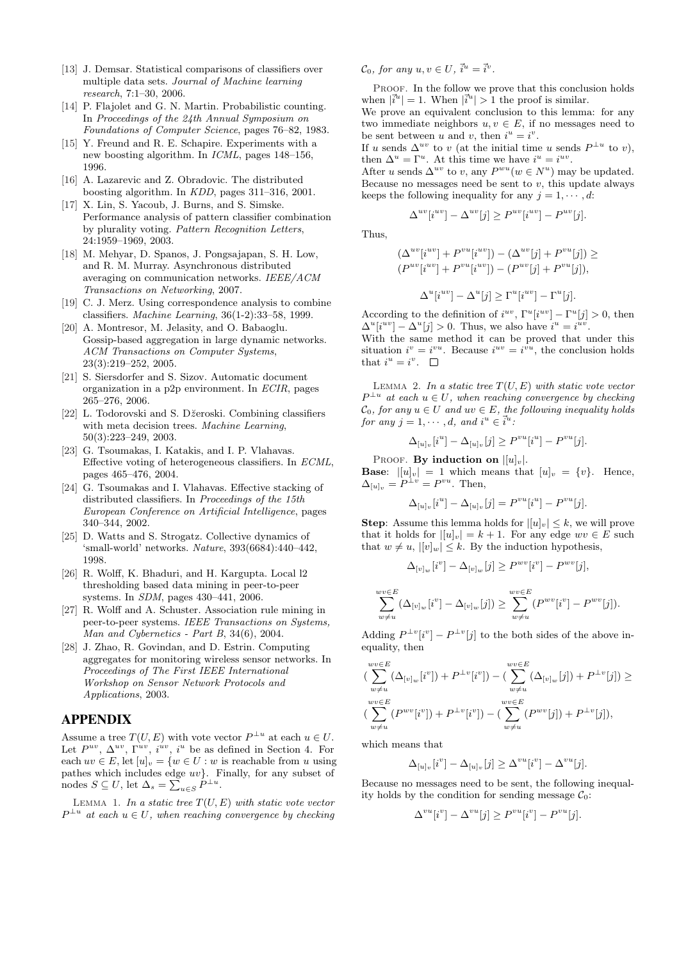- [13] J. Demsar. Statistical comparisons of classifiers over multiple data sets. Journal of Machine learning research, 7:1–30, 2006.
- [14] P. Flajolet and G. N. Martin. Probabilistic counting. In Proceedings of the 24th Annual Symposium on Foundations of Computer Science, pages 76–82, 1983.
- [15] Y. Freund and R. E. Schapire. Experiments with a new boosting algorithm. In ICML, pages 148–156, 1996.
- [16] A. Lazarevic and Z. Obradovic. The distributed boosting algorithm. In KDD, pages 311–316, 2001.
- [17] X. Lin, S. Yacoub, J. Burns, and S. Simske. Performance analysis of pattern classifier combination by plurality voting. Pattern Recognition Letters, 24:1959–1969, 2003.
- [18] M. Mehyar, D. Spanos, J. Pongsajapan, S. H. Low, and R. M. Murray. Asynchronous distributed averaging on communication networks. IEEE/ACM Transactions on Networking, 2007.
- [19] C. J. Merz. Using correspondence analysis to combine classifiers. Machine Learning, 36(1-2):33–58, 1999.
- [20] A. Montresor, M. Jelasity, and O. Babaoglu. Gossip-based aggregation in large dynamic networks. ACM Transactions on Computer Systems, 23(3):219–252, 2005.
- [21] S. Siersdorfer and S. Sizov. Automatic document organization in a p2p environment. In ECIR, pages 265–276, 2006.
- [22] L. Todorovski and S. Džeroski. Combining classifiers with meta decision trees. Machine Learning, 50(3):223–249, 2003.
- [23] G. Tsoumakas, I. Katakis, and I. P. Vlahavas. Effective voting of heterogeneous classifiers. In ECML, pages 465–476, 2004.
- [24] G. Tsoumakas and I. Vlahavas. Effective stacking of distributed classifiers. In Proceedings of the 15th European Conference on Artificial Intelligence, pages 340–344, 2002.
- [25] D. Watts and S. Strogatz. Collective dynamics of 'small-world' networks. Nature, 393(6684):440–442, 1998.
- [26] R. Wolff, K. Bhaduri, and H. Kargupta. Local l2 thresholding based data mining in peer-to-peer systems. In SDM, pages 430–441, 2006.
- [27] R. Wolff and A. Schuster. Association rule mining in peer-to-peer systems. IEEE Transactions on Systems, Man and Cybernetics - Part B, 34(6), 2004.
- [28] J. Zhao, R. Govindan, and D. Estrin. Computing aggregates for monitoring wireless sensor networks. In Proceedings of The First IEEE International Workshop on Sensor Network Protocols and Applications, 2003.

## APPENDIX

Assume a tree  $T(U, E)$  with vote vector  $P^{\perp u}$  at each  $u \in U$ . Let  $P^{uv}$ ,  $\Delta^{uv}$ ,  $\Gamma^{uv}$ ,  $i^{uv}$ ,  $i^{u}$  be as defined in Section 4. For each  $uv \in E$ , let  $[u]_v = \{w \in U : w$  is reachable from u using pathes which includes edge  $uv$ . Finally, for any subset of patnes which includes edge  $uv$  F.<br>nodes  $S \subseteq U$ , let  $\Delta_s = \sum_{u \in S} P^{\perp u}$ .

LEMMA 1. In a static tree  $T(U, E)$  with static vote vector  $P^{\perp u}$  at each  $u \in U$ , when reaching convergence by checking

 $\mathcal{C}_0$ , for any  $u, v \in U$ ,  $\vec{i}^u = \vec{i}^v$ .

PROOF. In the follow we prove that this conclusion holds when  $|\vec{i}^u|=1$ . When  $|\vec{i}^u|>1$  the proof is similar.

We prove an equivalent conclusion to this lemma: for any two immediate neighbors  $u, v \in E$ , if no messages need to be sent between u and v, then  $i^u = i^v$ .

If u sends  $\Delta^{uv}$  to v (at the initial time u sends  $P^{\perp u}$  to v), then  $\Delta^u = \Gamma^u$ . At this time we have  $i^u = i^{uv}$ .

After u sends  $\Delta^{uv}$  to v, any  $P^{wu}(w \in N^u)$  may be updated. Because no messages need be sent to  $v$ , this update always keeps the following inequality for any  $j = 1, \dots, d$ :

$$
\Delta^{uv}[i^{uv}] - \Delta^{uv}[j] \ge P^{uv}[i^{uv}] - P^{uv}[j].
$$

Thus,

$$
(\Delta^{uv}[i^{uv}] + P^{vu}[i^{uv}]) - (\Delta^{uv}[j] + P^{vu}[j]) \ge
$$
  
\n
$$
(P^{uv}[i^{uv}] + P^{vu}[i^{uv}]) - (P^{uv}[j] + P^{vu}[j]),
$$
  
\n
$$
\Delta^{u}[i^{uv}] - \Delta^{u}[j] \ge \Gamma^{u}[i^{uv}] - \Gamma^{u}[j].
$$

According to the definition of  $i^{uv}$ ,  $\Gamma^u[i^{uv}] - \Gamma^u[j] > 0$ , then  $\Delta^u[i^{uv}] - \Delta^u[j] > 0$ . Thus, we also have  $i^u = i^{uv}$ .

With the same method it can be proved that under this situation  $i^v = i^{vu}$ . Because  $i^{uv} = i^{vu}$ , the conclusion holds that  $i^u = i^v$ .

LEMMA 2. In a static tree  $T(U, E)$  with static vote vector  $P^{\perp u}$  at each  $u \in U$ , when reaching convergence by checking  $\mathcal{C}_0$ , for any  $u \in U$  and  $uv \in E$ , the following inequality holds for any  $j = 1, \dots, d$ , and  $i^u \in \vec{i}^u$ .

$$
\Delta_{[u]_v}[i^u] - \Delta_{[u]_v}[j] \ge P^{vu}[i^u] - P^{vu}[j].
$$

PROOF. By induction on  $||u||_v$ .

**Base:**  $|[u]_v| = 1$  which means that  $[u]_v = \{v\}$ . Hence,  $\Delta_{[u]_v} = P^{\perp v} = P^{vu}$ . Then,

$$
\Delta_{[u]_v}[i^u] - \Delta_{[u]_v}[j] = P^{vu}[i^u] - P^{vu}[j].
$$

**Step:** Assume this lemma holds for  $||u||_v \leq k$ , we will prove that it holds for  $||u|_v| = k + 1$ . For any edge  $wv \in E$  such that  $w \neq u$ ,  $||v||_w| \leq k$ . By the induction hypothesis,

$$
\Delta_{[v]_w}[i^v] - \Delta_{[v]_w}[j] \ge P^{wv}[i^v] - P^{wv}[j],
$$
  

$$
\sum_{w \neq u}^{wv \in E} (\Delta_{[v]_w}[i^v] - \Delta_{[v]_w}[j]) \ge \sum_{w \neq u}^{wv \in E} (P^{wv}[i^v] - P^{wv}[j]).
$$

Adding  $P^{\perp v}[i^v] - P^{\perp v}[j]$  to the both sides of the above inequality, then

$$
\left(\sum_{w \neq u}^{wv \in E} (\Delta_{[v]_w}[i^v]) + P^{\perp v}[i^v]) - (\sum_{w \neq u}^{wv \in E} (\Delta_{[v]_w}[j]) + P^{\perp v}[j]) \ge
$$
  

$$
\left(\sum_{w \neq u}^{wv \in E} (P^{wv}[i^v]) + P^{\perp v}[i^v]) - (\sum_{w \neq u}^{wv \in E} (P^{wv}[j]) + P^{\perp v}[j]),\right)
$$

which means that

$$
\Delta_{[u]_v}[i^v] - \Delta_{[u]_v}[j] \ge \Delta^{vu}[i^v] - \Delta^{vu}[j].
$$

Because no messages need to be sent, the following inequality holds by the condition for sending message  $C_0$ :

$$
\Delta^{vu}[i^v] - \Delta^{vu}[j] \ge P^{vu}[i^v] - P^{vu}[j].
$$